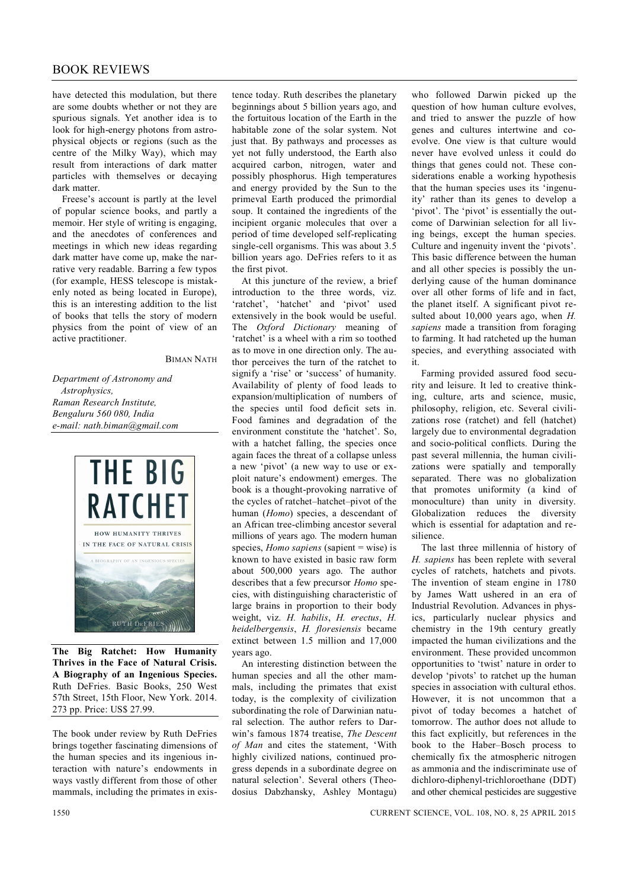## BOOK REVIEWS

have detected this modulation, but there are some doubts whether or not they are spurious signals. Yet another idea is to look for high-energy photons from astrophysical objects or regions (such as the centre of the Milky Way), which may result from interactions of dark matter particles with themselves or decaying dark matter.

Freese's account is partly at the level of popular science books, and partly a memoir. Her style of writing is engaging, and the anecdotes of conferences and meetings in which new ideas regarding dark matter have come up, make the narrative very readable. Barring a few typos (for example, HESS telescope is mistakenly noted as being located in Europe), this is an interesting addition to the list of books that tells the story of modern physics from the point of view of an active practitioner.

BIMAN NATH

*Department of Astronomy and Astrophysics, Raman Research Institute, Bengaluru 560 080, India e-mail: nath.biman@gmail.com*



**The Big Ratchet: How Humanity Thrives in the Face of Natural Crisis. A Biography of an Ingenious Species.** Ruth DeFries. Basic Books, 250 West 57th Street, 15th Floor, New York. 2014. 273 pp. Price: US\$ 27.99.

The book under review by Ruth DeFries brings together fascinating dimensions of the human species and its ingenious interaction with nature's endowments in ways vastly different from those of other mammals, including the primates in exis-

tence today. Ruth describes the planetary beginnings about 5 billion years ago, and the fortuitous location of the Earth in the habitable zone of the solar system. Not just that. By pathways and processes as yet not fully understood, the Earth also acquired carbon, nitrogen, water and possibly phosphorus. High temperatures and energy provided by the Sun to the primeval Earth produced the primordial soup. It contained the ingredients of the incipient organic molecules that over a period of time developed self-replicating single-cell organisms. This was about 3.5 billion years ago. DeFries refers to it as the first pivot.

At this juncture of the review, a brief introduction to the three words, viz. 'ratchet', 'hatchet' and 'pivot' used extensively in the book would be useful. The *Oxford Dictionary* meaning of 'ratchet' is a wheel with a rim so toothed as to move in one direction only. The author perceives the turn of the ratchet to signify a 'rise' or 'success' of humanity. Availability of plenty of food leads to expansion/multiplication of numbers of the species until food deficit sets in. Food famines and degradation of the environment constitute the 'hatchet'. So, with a hatchet falling, the species once again faces the threat of a collapse unless a new 'pivot' (a new way to use or exploit nature's endowment) emerges. The book is a thought-provoking narrative of the cycles of ratchet–hatchet–pivot of the human (*Homo*) species, a descendant of an African tree-climbing ancestor several millions of years ago. The modern human species, *Homo sapiens* (sapient = wise) is known to have existed in basic raw form about 500,000 years ago. The author describes that a few precursor *Homo* species, with distinguishing characteristic of large brains in proportion to their body weight, viz. *H. habilis*, *H. erectus*, *H. heidelbergensis*, *H. floresiensis* became extinct between 1.5 million and 17,000 years ago.

An interesting distinction between the human species and all the other mammals, including the primates that exist today, is the complexity of civilization subordinating the role of Darwinian natural selection. The author refers to Darwin's famous 1874 treatise, *The Descent of Man* and cites the statement, 'With highly civilized nations, continued progress depends in a subordinate degree on natural selection'. Several others (Theodosius Dabzhansky, Ashley Montagu) who followed Darwin picked up the question of how human culture evolves, and tried to answer the puzzle of how genes and cultures intertwine and coevolve. One view is that culture would never have evolved unless it could do things that genes could not. These considerations enable a working hypothesis that the human species uses its 'ingenuity' rather than its genes to develop a 'pivot'. The 'pivot' is essentially the outcome of Darwinian selection for all living beings, except the human species. Culture and ingenuity invent the 'pivots'. This basic difference between the human and all other species is possibly the underlying cause of the human dominance over all other forms of life and in fact, the planet itself. A significant pivot resulted about 10,000 years ago, when *H. sapiens* made a transition from foraging to farming. It had ratcheted up the human species, and everything associated with it.

Farming provided assured food security and leisure. It led to creative thinking, culture, arts and science, music, philosophy, religion, etc. Several civilizations rose (ratchet) and fell (hatchet) largely due to environmental degradation and socio-political conflicts. During the past several millennia, the human civilizations were spatially and temporally separated. There was no globalization that promotes uniformity (a kind of monoculture) than unity in diversity. Globalization reduces the diversity which is essential for adaptation and resilience.

The last three millennia of history of *H. sapiens* has been replete with several cycles of ratchets, hatchets and pivots. The invention of steam engine in 1780 by James Watt ushered in an era of Industrial Revolution. Advances in physics, particularly nuclear physics and chemistry in the 19th century greatly impacted the human civilizations and the environment. These provided uncommon opportunities to 'twist' nature in order to develop 'pivots' to ratchet up the human species in association with cultural ethos. However, it is not uncommon that a pivot of today becomes a hatchet of tomorrow. The author does not allude to this fact explicitly, but references in the book to the Haber–Bosch process to chemically fix the atmospheric nitrogen as ammonia and the indiscriminate use of dichloro-diphenyl-trichloroethane (DDT) and other chemical pesticides are suggestive